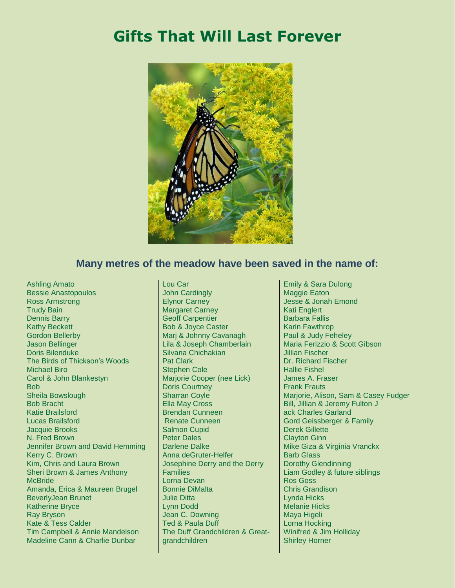## **Gifts That Will Last Forever**



## **Many metres of the meadow have been saved in the name of:**

Ashling Amato Bessie Anastopoulos Ross Armstrong Trudy Bain Dennis Barry Kathy Beckett Gordon Bellerby Jason Bellinger Doris Bilenduke The Birds of Thickson's Woods Michael Biro Carol & John Blankestyn Bob Sheila Bowslough Bob Bracht Katie Brailsford Lucas Brailsford Jacquie Brooks N. Fred Brown Jennifer Brown and David Hemming Kerry C. Brown Kim, Chris and Laura Brown Sheri Brown & James Anthony **McBride** Amanda, Erica & Maureen Brugel BeverlyJean Brunet Katherine Bryce Ray Bryson Kate & Tess Calder Tim Campbell & Annie Mandelson Madeline Cann & Charlie Dunbar

Lou Car John Cardingly Elynor Carney Margaret Carney Geoff Carpentier Bob & Joyce Caster Marj & Johnny Cavanagh Lila & Joseph Chamberlain Silvana Chichakian Pat Clark Stephen Cole Marjorie Cooper (nee Lick) Doris Courtney Sharran Coyle Ella May Cross Brendan Cunneen Renate Cunneen Salmon Cupid Peter Dales Darlene Dalke Anna deGruter-Helfer Josephine Derry and the Derry Families Lorna Devan Bonnie DiMalta Julie Ditta Lynn Dodd Jean C. Downing Ted & Paula Duff The Duff Grandchildren & Greatgrandchildren

Emily & Sara Dulong Maggie Eaton Jesse & Jonah Emond Kati Englert Barbara Fallis Karin Fawthrop Paul & Judy Feheley Maria Ferizzio & Scott Gibson Jillian Fischer Dr. Richard Fischer Hallie Fishel James A. Fraser Frank Frauts Marjorie, Alison, Sam & Casey Fudger Bill, Jillian & Jeremy Fulton J ack Charles Garland Gord Geissberger & Family Derek Gillette Clayton Ginn Mike Giza & Virginia Vranckx Barb Glass Dorothy Glendinning Liam Godley & future siblings Ros Goss Chris Grandison Lynda Hicks Melanie Hicks Maya Higeli Lorna Hocking Winifred & Jim Holliday Shirley Horner